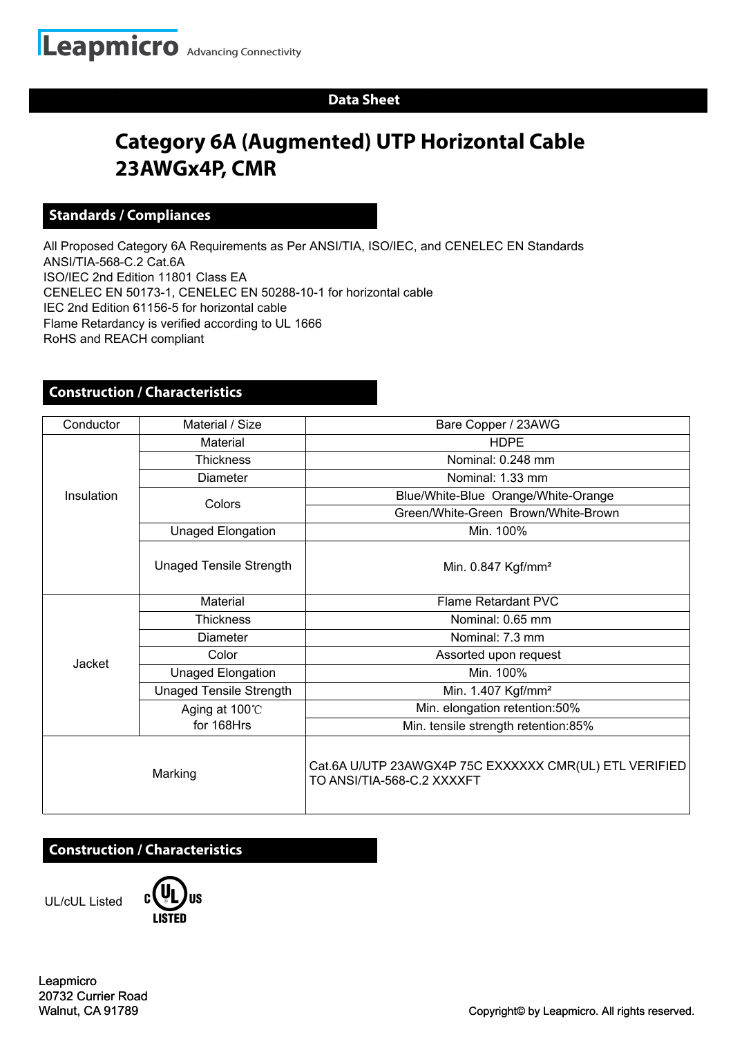### **Data Sheet**

# **Category 6A (Augmented) UTP Horizontal Cable 23AWGx4P, CMR**

#### **Standards / Compliances**

All Proposed Category 6A Requirements as Per ANSI/TIA, ISO/IEC, and CENELEC EN Standards ANSI/TIA-568-C.2 Cat.6A ISO/IEC 2nd Edition 11801 Class EA CENELEC EN 50173-1, CENELEC EN 50288-10-1 for horizontal cable IEC 2nd Edition 61156-5 for horizontal cable Flame Retardancy is verified according to UL 1666 RoHS and REACH compliant

### **Construction / Characteristics**

| Conductor  | Material / Size                | Bare Copper / 23AWG                                                                  |  |
|------------|--------------------------------|--------------------------------------------------------------------------------------|--|
| Insulation | Material                       | <b>HDPE</b>                                                                          |  |
|            | <b>Thickness</b>               | Nominal: 0.248 mm                                                                    |  |
|            | <b>Diameter</b>                | Nominal: 1.33 mm                                                                     |  |
|            | Colors                         | Blue/White-Blue Orange/White-Orange                                                  |  |
|            |                                | Green/White-Green Brown/White-Brown                                                  |  |
|            | <b>Unaged Elongation</b>       | Min. 100%                                                                            |  |
|            | <b>Unaged Tensile Strength</b> | Min. 0.847 Kgf/mm <sup>2</sup>                                                       |  |
| Jacket     | Material                       | <b>Flame Retardant PVC</b>                                                           |  |
|            | <b>Thickness</b>               | Nominal: 0.65 mm                                                                     |  |
|            | <b>Diameter</b>                | Nominal: 7.3 mm                                                                      |  |
|            | Color                          | Assorted upon request                                                                |  |
|            | Unaged Elongation              | Min. 100%                                                                            |  |
|            | <b>Unaged Tensile Strength</b> | Min. 1.407 Kgf/mm <sup>2</sup>                                                       |  |
|            | Aging at 100°C                 | Min. elongation retention:50%                                                        |  |
|            | for 168Hrs                     | Min. tensile strength retention:85%                                                  |  |
| Marking    |                                | Cat.6A U/UTP 23AWGX4P 75C EXXXXXX CMR(UL) ETL VERIFIED<br>TO ANSI/TIA-568-C.2 XXXXFT |  |

## **Construction / Characteristics**

UL/cUL Listed



Leapmicro 20732 Currier Road Walnut, CA 91789